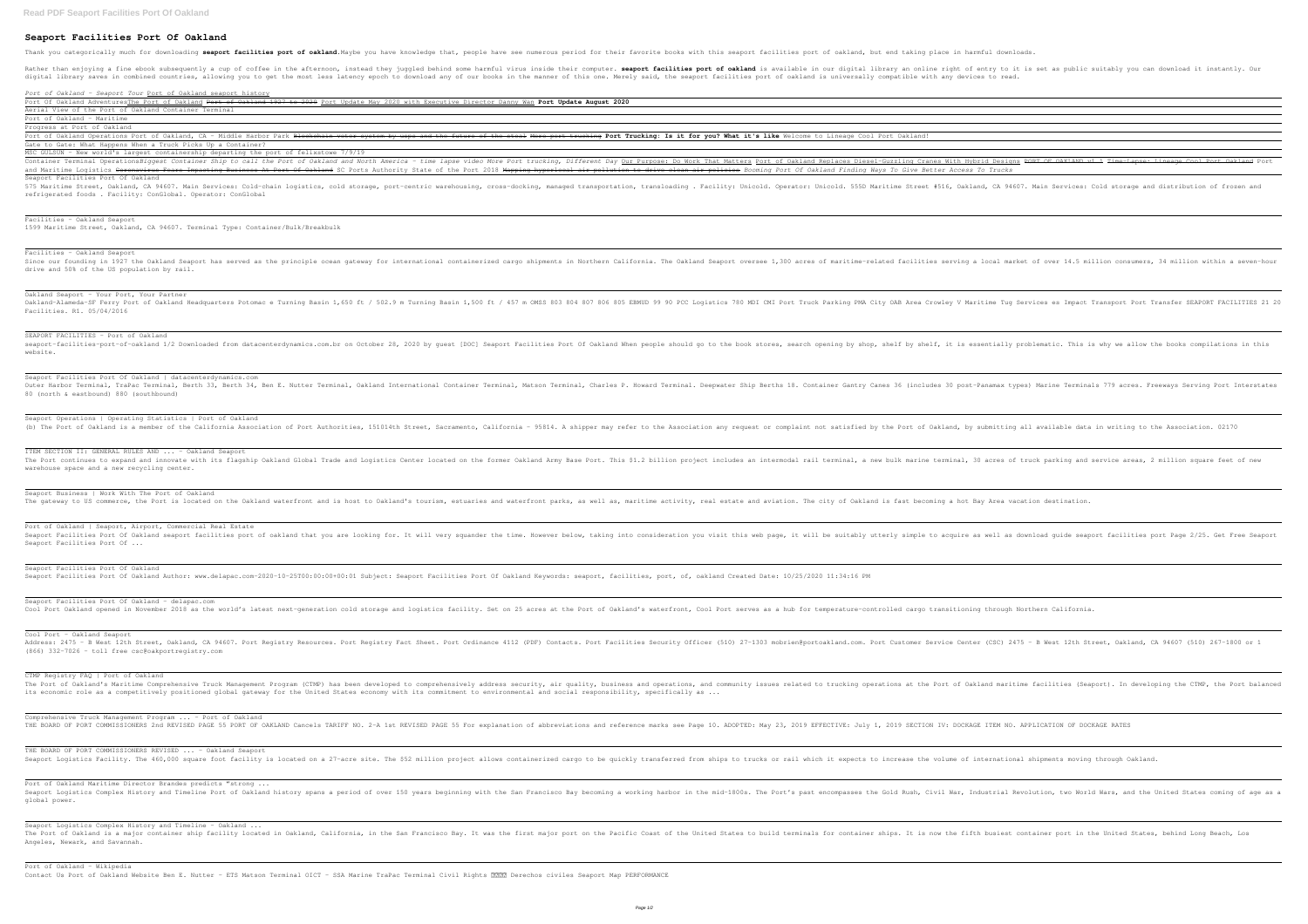## **Seaport Facilities Port Of Oakland**

Thank you categorically much for downloading seaport facilities port of oakland. Maybe you have knowledge that, people have see numerous period for their favorite books with this seaport facilities port of oakland, but end

Rather than enjoying a fine ebook subsequently a cup of coffee in the afternoon, instead they juggled behind some harmful virus inside their computer. seaport facilities port of oakland is available in our digital library digital library saves in combined countries, allowing you to get the most less latency epoch to download any of our books in the manner of this one. Merely said, the seaport facilities port of oakland is universally compat

| Port of Oakland - Seaport Tour Port of Oakland seaport history                                                                                                                                                                                                                                                                                 |
|------------------------------------------------------------------------------------------------------------------------------------------------------------------------------------------------------------------------------------------------------------------------------------------------------------------------------------------------|
| Port Of Oakland AdventuresThe Port of Oakland Port of Oakland 1927 to 2020 Port Update May 2020 with Executive Director<br>Aerial View of the Port of Oakland Container Terminal                                                                                                                                                               |
| Port of Oakland - Maritime                                                                                                                                                                                                                                                                                                                     |
| Progress at Port of Oakland<br>Port of Oakland Operations Port of Oakland, CA - Middle Harbor Park Blockchain voter system by usps and the future                                                                                                                                                                                              |
| Gate to Gate: What Happens When a Truck Picks Up a Container?                                                                                                                                                                                                                                                                                  |
| MSC GULSUN - New world's largest containership departing the port of felixstowe 7/9/19<br>Container Terminal OperationsBiggest Container Ship to call the Port of Oakland and North America - time lapse video Mol<br>and Maritime Logistics Coronavirus Fears Impacting Business At Port Of Oakland SC Ports Authority State of the Port 2018 |
| Seaport Facilities Port Of Oakland<br>575 Maritime Street, Oakland, CA 94607. Main Services: Cold-chain logistics, cold storage, port-centric warehousing, cro<br>refrigerated foods. Facility: ConGlobal. Operator: ConGlobal                                                                                                                 |
|                                                                                                                                                                                                                                                                                                                                                |
| Facilities - Oakland Seaport<br>1599 Maritime Street, Oakland, CA 94607. Terminal Type: Container/Bulk/Breakbulk                                                                                                                                                                                                                               |
| Facilities - Oakland Seaport<br>Since our founding in 1927 the Oakland Seaport has served as the principle ocean gateway for international containerized<br>drive and 50% of the US population by rail.                                                                                                                                        |
| Oakland Seaport - Your Port, Your Partner<br>Oakland-Alameda-SF Ferry Port of Oakland Headquarters Potomac e Turning Basin 1,650 ft / 502.9 m Turning Basin 1,500 ft<br>Facilities. R1. 05/04/2016                                                                                                                                             |
| SEAPORT FACILITIES - Port of Oakland<br>seaport-facilities-port-of-oakland 1/2 Downloaded from datacenterdynamics.com.br on October 28, 2020 by quest [DOC] Seap<br>website.                                                                                                                                                                   |
| Seaport Facilities Port Of Oakland   datacenterdynamics.com                                                                                                                                                                                                                                                                                    |
| Outer Harbor Terminal, TraPac Terminal, Berth 33, Berth 34, Ben E. Nutter Terminal, Oakland International Container Term<br>80 (north & eastbound) 880 (southbound)                                                                                                                                                                            |
| Seaport Operations   Operating Statistics   Port of Oakland<br>(b) The Port of Oakland is a member of the California Association of Port Authorities, 151014th Street, Sacramento, Cali                                                                                                                                                        |
| ITEM SECTION II: GENERAL RULES AND  - Oakland Seaport<br>The Port continues to expand and innovate with its flagship Oakland Global Trade and Logistics Center located on the for<br>warehouse space and a new recycling center.                                                                                                               |
| Seaport Business   Work With The Port of Oakland<br>The gateway to US commerce, the Port is located on the Oakland waterfront and is host to Oakland's tourism, estuaries ar                                                                                                                                                                   |
| Port of Oakland   Seaport, Airport, Commercial Real Estate<br>Seaport Facilities Port Of Oakland seaport facilities port of oakland that you are looking for. It will very squander th<br>Seaport Facilities Port Of                                                                                                                           |
| Seaport Facilities Port Of Oakland<br>Seaport Facilities Port Of Oakland Author: www.delapac.com-2020-10-25T00:00:00+00:01 Subject: Seaport Facilities Port Of                                                                                                                                                                                 |
| Seaport Facilities Port Of Oakland - delapac.com<br>Cool Port Oakland opened in November 2018 as the world's latest next-generation cold storage and logistics facility. Set                                                                                                                                                                   |
| Cool Port - Oakland Seaport<br>Address: 2475 - B West 12th Street, Oakland, CA 94607. Port Registry Resources. Port Registry Fact Sheet. Port Ordinance<br>$(866)$ 332-7026 - toll free csc@oakportreqistry.com                                                                                                                                |
| CTMP Registry FAQ   Port of Oakland<br>The Port of Oakland's Maritime Comprehensive Truck Management Program (CTMP) has been developed to comprehensively addre<br>its economic role as a competitively positioned global gateway for the United States economy with its commitment to envi                                                    |
| Comprehensive Truck Management Program  - Port of Oakland<br>THE BOARD OF PORT COMMISSIONERS 2nd REVISED PAGE 55 PORT OF OAKLAND Cancels TARIFF NO. 2-A 1st REVISED PAGE 55 For expla                                                                                                                                                          |
| THE BOARD OF PORT COMMISSIONERS REVISED  - Oakland Seaport<br>Seaport Logistics Facility. The 460,000 square foot facility is located on a 27-acre site. The \$52 million project allow                                                                                                                                                        |
| Port of Oakland Maritime Director Brandes predicts "strong<br>Seaport Logistics Complex History and Timeline Port of Oakland history spans a period of over 150 years beginning with t<br>global power.                                                                                                                                        |
| Seaport Logistics Complex History and Timeline - Oakland<br>The Port of Oakland is a major container ship facility located in Oakland, California, in the San Francisco Bay. It was<br>Angeles, Newark, and Savannah.                                                                                                                          |
| Port of Oakland - Wikipedia                                                                                                                                                                                                                                                                                                                    |

Contact Us Port of Oakland Website Ben E. Nutter - ETS Matson Terminal OICT - SSA Marine TraPac Terminal Civil Rights 8000 Derechos civiles Seaport Map PERFORMANCE

Danny Wan Port Update August 2020

<del>he steal More port trucking</del> Port Trucking: Is it for you? What it's like Welcome to Lineage Cool Port Oakland!

re Port trucking, Different Day Our Purpose: Do Work That Matters Port of Oakland Replaces Diesel-Guzzling Cranes With Hybrid Designs PORT OF OAKLAND v1 1 Time-Lapse: Lineage Cool Port Oakland Port Mapping hyperlocal air pollution to drive clean air policies Booming Port Of Oakland Finding Ways To Give Better Access To Trucks

oss-docking, managed transportation, transloading . Facility: Unicold. Operator: Unicold. 555D Maritime Street #516, Oakland, CA 94607. Main Services: Cold storage and distribution of frozen and

ed cargo shipments in Northern California. The Oakland Seaport oversee 1,300 acres of maritime-related facilities serving a local market of over 14.5 million consumers, 34 million within a seven-hour

/ 457 m OMSS 803 804 807 806 805 EBMUD 99 90 PCC Logistics 780 MDI CMI Port Truck Parking PMA City OAB Area Crowley V Maritime Tug Services es Impact Transport Port Transfer SEAPORT FACILITIES 21 20

port Facilities Port Of Oakland When people should go to the book stores, search opening by shop, shelf by shelf, it is essentially problematic. This is why we allow the books compilations in this

minal, Matson Terminal, Charles P. Howard Terminal. Deepwater Ship Berths 18. Container Gantry Canes 36 (includes 30 post-Panamax types) Marine Terminals 779 acres. Freeways Serving Port Interstates

ifornia - 95814. A shipper may refer to the Association any request or complaint not satisfied by the Port of Oakland, by submitting all available data in writing to the Association. 02170

rmer Oakland Army Base Port. This \$1.2 billion project includes an intermodal rail terminal, a new bulk marine terminal, 30 acres of truck parking and service areas, 2 million square feet of new

nd waterfront parks, as well as, maritime activity, real estate and aviation. The city of Oakland is fast becoming a hot Bay Area vacation destination.

he time. However below, taking into consideration you visit this web page, it will be suitably utterly simple to acquire as well as download guide seaport facilities port Page 2/25. Get Free Seaport

Oakland Keywords: seaport, facilities, port, of, oakland Created Date: 10/25/2020 11:34:16 PM

on 25 acres at the Port of Oakland's waterfront, Cool Port serves as a hub for temperature-controlled cargo transitioning through Northern California.

e 4112 (PDF) Contacts. Port Facilities Security Officer (510) 27-1303 mobrien@portoakland.com. Port Customer Service Center (CSC) 2475 - B West 12th Street, Oakland, CA 94607 (510) 267-1800 or 1

ess security, air quality, business and operations, and community issues related to trucking operations at the Port of Oakland maritime facilities (Seaport). In developing the CTMP, the Port balanced ironmental and social responsibility, specifically as  $\ldots$ 

anation of abbreviations and reference marks see Page 10. ADOPTED: May 23, 2019 EFFECTIVE: July 1, 2019 SECTION IV: DOCKAGE ITEM NO. APPLICATION OF DOCKAGE RATES

ws containerized cargo to be quickly transferred from ships to trucks or rail which it expects to increase the volume of international shipments moving through Oakland.

the San Francisco Bay becoming a working harbor in the mid-1800s. The Port's past encompasses the Gold Rush, Civil War, Industrial Revolution, two World Wars, and the United States coming of age as a

the first major port on the Pacific Coast of the United States to build terminals for container ships. It is now the fifth busiest container port in the United States, behind Long Beach, Los